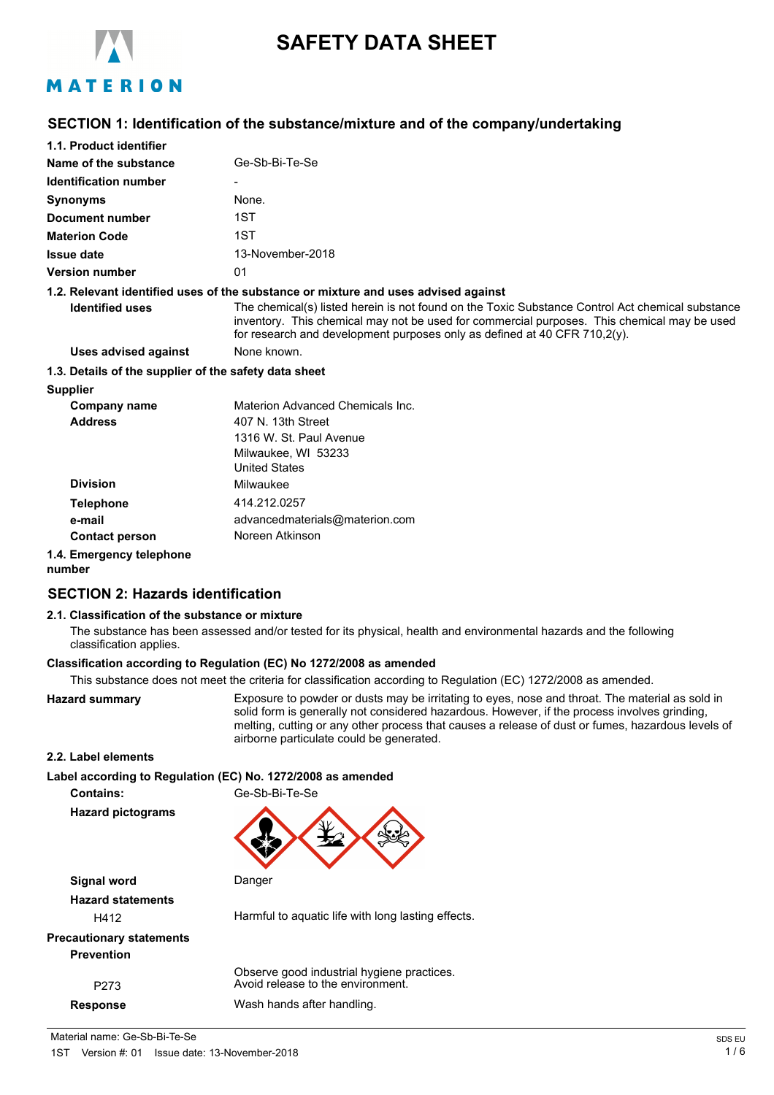

# **SAFETY DATA SHEET**

# MATERION

### **SECTION 1: Identification of the substance/mixture and of the company/undertaking**

| 1.1. Product identifier                               |                                                                                                                                                                                                                                                                              |
|-------------------------------------------------------|------------------------------------------------------------------------------------------------------------------------------------------------------------------------------------------------------------------------------------------------------------------------------|
| Name of the substance                                 | Ge-Sb-Bi-Te-Se                                                                                                                                                                                                                                                               |
| <b>Identification number</b>                          |                                                                                                                                                                                                                                                                              |
| Synonyms                                              | None.                                                                                                                                                                                                                                                                        |
| <b>Document number</b>                                | 1ST                                                                                                                                                                                                                                                                          |
| <b>Materion Code</b>                                  | 1ST                                                                                                                                                                                                                                                                          |
| Issue date                                            | 13-November-2018                                                                                                                                                                                                                                                             |
| Version number                                        | 01                                                                                                                                                                                                                                                                           |
|                                                       | 1.2. Relevant identified uses of the substance or mixture and uses advised against                                                                                                                                                                                           |
| <b>Identified uses</b>                                | The chemical(s) listed herein is not found on the Toxic Substance Control Act chemical substance<br>inventory. This chemical may not be used for commercial purposes. This chemical may be used<br>for research and development purposes only as defined at 40 CFR 710,2(y). |
| <b>Uses advised against</b>                           | None known.                                                                                                                                                                                                                                                                  |
| 1.3. Details of the supplier of the safety data sheet |                                                                                                                                                                                                                                                                              |
| <b>Supplier</b>                                       |                                                                                                                                                                                                                                                                              |
| Company name                                          | Materion Advanced Chemicals Inc.                                                                                                                                                                                                                                             |
| <b>Address</b>                                        | 407 N. 13th Street                                                                                                                                                                                                                                                           |
|                                                       | 1316 W. St. Paul Avenue                                                                                                                                                                                                                                                      |
|                                                       | Milwaukee, WI 53233                                                                                                                                                                                                                                                          |
|                                                       | <b>United States</b>                                                                                                                                                                                                                                                         |
| <b>Division</b>                                       | Milwaukee                                                                                                                                                                                                                                                                    |
| <b>Telephone</b>                                      | 414.212.0257                                                                                                                                                                                                                                                                 |
| e-mail                                                | advancedmaterials@materion.com                                                                                                                                                                                                                                               |
|                                                       |                                                                                                                                                                                                                                                                              |

**Contact person** Noreen Atkinson

### **1.4. Emergency telephone**

#### **number**

# **SECTION 2: Hazards identification**

### **2.1. Classification of the substance or mixture**

The substance has been assessed and/or tested for its physical, health and environmental hazards and the following classification applies.

### **Classification according to Regulation (EC) No 1272/2008 as amended**

This substance does not meet the criteria for classification according to Regulation (EC) 1272/2008 as amended.

**Hazard summary** Exposure to powder or dusts may be irritating to eyes, nose and throat. The material as sold in solid form is generally not considered hazardous. However, if the process involves grinding, melting, cutting or any other process that causes a release of dust or fumes, hazardous levels of airborne particulate could be generated.

### **2.2. Label elements**

**Label according to Regulation (EC) No. 1272/2008 as amended**

**Contains:** Ge-Sb-Bi-Te-Se

**Hazard pictograms**



**Signal word** Danger **Hazard statements** H412 Harmful to aquatic life with long lasting effects. **Precautionary statements Prevention**

Observe good industrial hygiene practices. P273 Avoid release to the environment. **Response** Wash hands after handling.

Material name: Ge-Sb-Bi-Te-Se Spot and the set of the set of the set of the set of the spot and the spot and the spot and the spot and the spot and the spot and the spot and the spot and the spot and the spot and the spot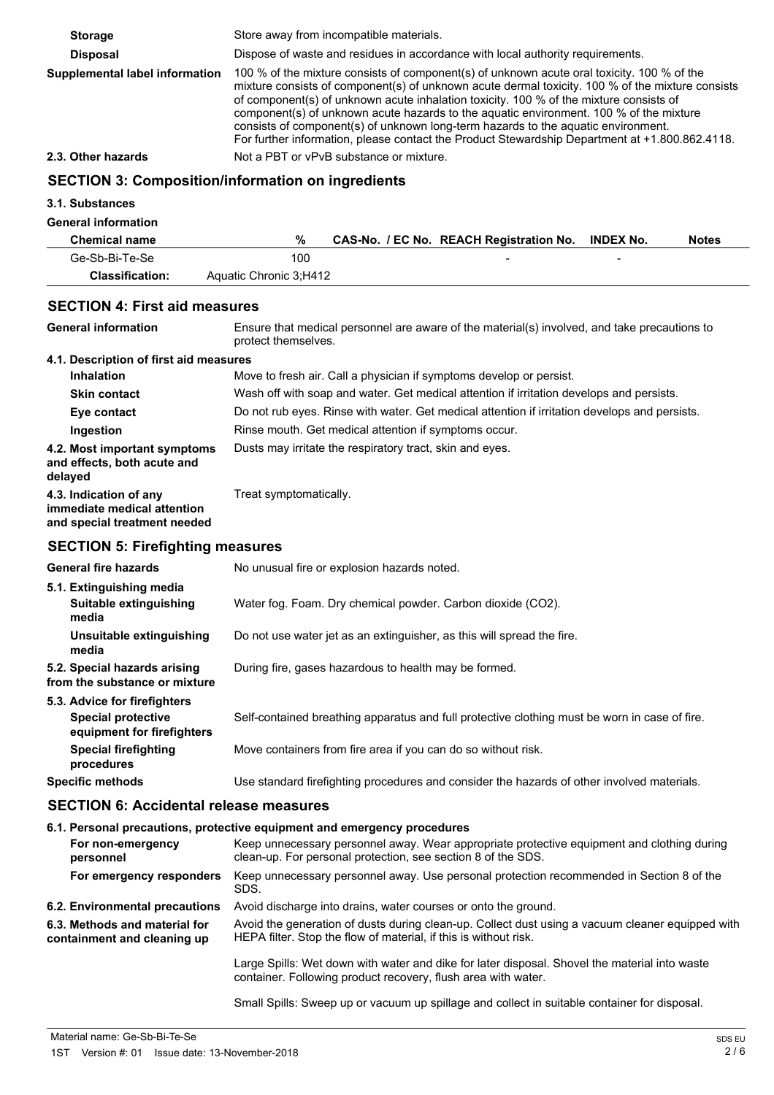| <b>Storage</b>                 | Store away from incompatible materials.                                                                                                                                                                                                                                                                                                                                                                                                                                                                                                                                   |
|--------------------------------|---------------------------------------------------------------------------------------------------------------------------------------------------------------------------------------------------------------------------------------------------------------------------------------------------------------------------------------------------------------------------------------------------------------------------------------------------------------------------------------------------------------------------------------------------------------------------|
| <b>Disposal</b>                | Dispose of waste and residues in accordance with local authority requirements.                                                                                                                                                                                                                                                                                                                                                                                                                                                                                            |
| Supplemental label information | 100 % of the mixture consists of component(s) of unknown acute oral toxicity. 100 % of the<br>mixture consists of component(s) of unknown acute dermal toxicity. 100 % of the mixture consists<br>of component(s) of unknown acute inhalation toxicity. 100 % of the mixture consists of<br>component(s) of unknown acute hazards to the aquatic environment. 100 % of the mixture<br>consists of component(s) of unknown long-term hazards to the aquatic environment.<br>For further information, please contact the Product Stewardship Department at +1.800.862.4118. |
| 2.3. Other hazards             | Not a PBT or vPvB substance or mixture.                                                                                                                                                                                                                                                                                                                                                                                                                                                                                                                                   |
|                                | <b>SECTION 3: Composition/information on ingredients</b>                                                                                                                                                                                                                                                                                                                                                                                                                                                                                                                  |
| 2.4 Cubetances                 |                                                                                                                                                                                                                                                                                                                                                                                                                                                                                                                                                                           |

# **3.1. Substances**

### **General information**

| <b>OUTER INTO THE SET OF THE UP</b> |                        |                                                   |   |              |
|-------------------------------------|------------------------|---------------------------------------------------|---|--------------|
| <b>Chemical name</b>                |                        | CAS-No. / EC No. REACH Registration No. INDEX No. |   | <b>Notes</b> |
| Ge-Sb-Bi-Te-Se                      | 100                    |                                                   | - |              |
| <b>Classification:</b>              | Aquatic Chronic 3:H412 |                                                   |   |              |

# **SECTION 4: First aid measures**

| <b>General information</b>                                                            | Ensure that medical personnel are aware of the material(s) involved, and take precautions to<br>protect themselves. |
|---------------------------------------------------------------------------------------|---------------------------------------------------------------------------------------------------------------------|
| 4.1. Description of first aid measures                                                |                                                                                                                     |
| <b>Inhalation</b>                                                                     | Move to fresh air. Call a physician if symptoms develop or persist.                                                 |
| <b>Skin contact</b>                                                                   | Wash off with soap and water. Get medical attention if irritation develops and persists.                            |
| Eye contact                                                                           | Do not rub eyes. Rinse with water. Get medical attention if irritation develops and persists.                       |
| Ingestion                                                                             | Rinse mouth. Get medical attention if symptoms occur.                                                               |
| 4.2. Most important symptoms<br>and effects, both acute and<br>delayed                | Dusts may irritate the respiratory tract, skin and eyes.                                                            |
| 4.3. Indication of any<br>immediate medical attention<br>and special treatment needed | Treat symptomatically.                                                                                              |
| <b>CECTION E: Eirofiabting moscures</b>                                               |                                                                                                                     |

### **SECTION 5: Firefighting measures**

| <b>General fire hazards</b>                                   | No unusual fire or explosion hazards noted.                                                   |
|---------------------------------------------------------------|-----------------------------------------------------------------------------------------------|
| 5.1. Extinguishing media<br>Suitable extinguishing<br>media   | Water fog. Foam. Dry chemical powder. Carbon dioxide (CO2).                                   |
| Unsuitable extinguishing<br>media                             | Do not use water jet as an extinguisher, as this will spread the fire.                        |
| 5.2. Special hazards arising<br>from the substance or mixture | During fire, gases hazardous to health may be formed.                                         |
| 5.3. Advice for firefighters                                  |                                                                                               |
| <b>Special protective</b><br>equipment for firefighters       | Self-contained breathing apparatus and full protective clothing must be worn in case of fire. |
| <b>Special firefighting</b><br>procedures                     | Move containers from fire area if you can do so without risk.                                 |
| <b>Specific methods</b>                                       | Use standard firefighting procedures and consider the hazards of other involved materials.    |

# **SECTION 6: Accidental release measures**

### **6.1. Personal precautions, protective equipment and emergency procedures**

| For non-emergency<br>personnel                               | Keep unnecessary personnel away. Wear appropriate protective equipment and clothing during<br>clean-up. For personal protection, see section 8 of the SDS.           |
|--------------------------------------------------------------|----------------------------------------------------------------------------------------------------------------------------------------------------------------------|
| For emergency responders                                     | Keep unnecessary personnel away. Use personal protection recommended in Section 8 of the<br>SDS.                                                                     |
| 6.2. Environmental precautions                               | Avoid discharge into drains, water courses or onto the ground.                                                                                                       |
| 6.3. Methods and material for<br>containment and cleaning up | Avoid the generation of dusts during clean-up. Collect dust using a vacuum cleaner equipped with<br>HEPA filter. Stop the flow of material, if this is without risk. |
|                                                              | Large Spills: Wet down with water and dike for later disposal. Shovel the material into waste<br>container. Following product recovery, flush area with water.       |
|                                                              | Small Spills: Sweep up or vacuum up spillage and collect in suitable container for disposal.                                                                         |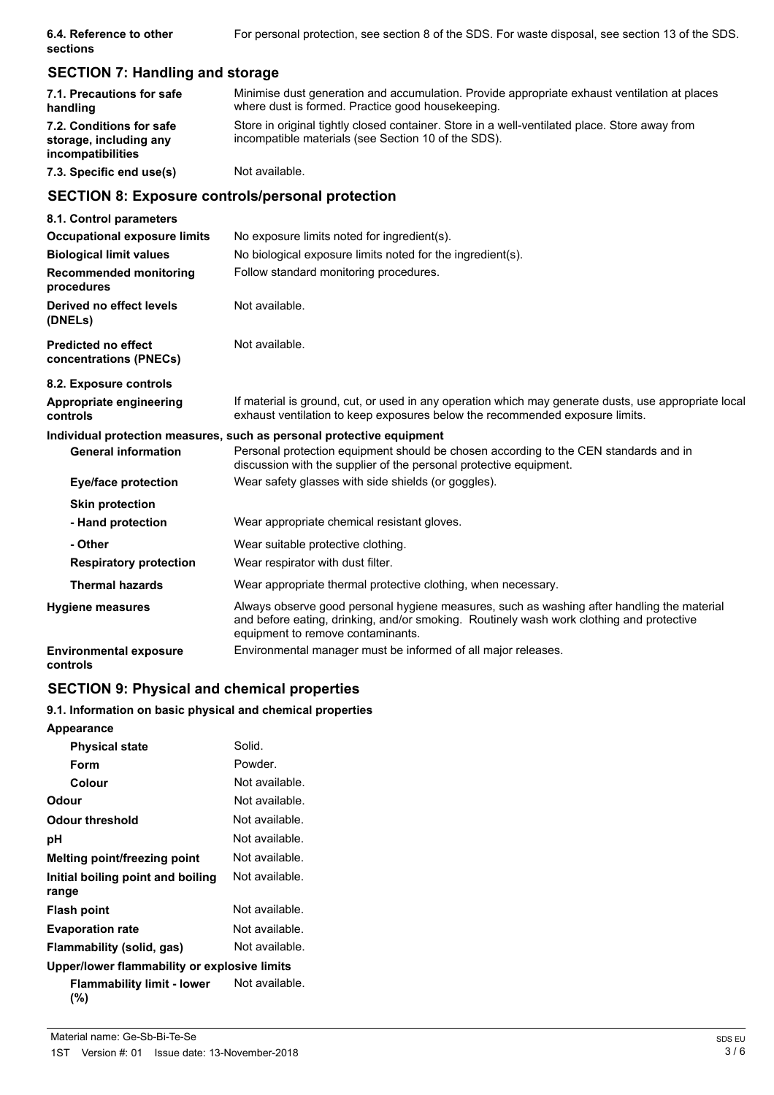| 6.4. Reference to other | For personal protection, see section 8 of the SDS. For waste disposal, see section 13 of the SDS. |  |  |
|-------------------------|---------------------------------------------------------------------------------------------------|--|--|
| sections                |                                                                                                   |  |  |

# **SECTION 7: Handling and storage**

| 7.1. Precautions for safe<br>handling                                   | Minimise dust generation and accumulation. Provide appropriate exhaust ventilation at places<br>where dust is formed. Practice good housekeeping.    |
|-------------------------------------------------------------------------|------------------------------------------------------------------------------------------------------------------------------------------------------|
| 7.2. Conditions for safe<br>storage, including any<br>incompatibilities | Store in original tightly closed container. Store in a well-ventilated place. Store away from<br>incompatible materials (see Section 10 of the SDS). |
| 7.3. Specific end use(s)                                                | Not available.                                                                                                                                       |

# **SECTION 8: Exposure controls/personal protection**

| 8.1. Control parameters                              |                                                                                                                                                                                                                             |
|------------------------------------------------------|-----------------------------------------------------------------------------------------------------------------------------------------------------------------------------------------------------------------------------|
| <b>Occupational exposure limits</b>                  | No exposure limits noted for ingredient(s).                                                                                                                                                                                 |
| <b>Biological limit values</b>                       | No biological exposure limits noted for the ingredient(s).                                                                                                                                                                  |
| <b>Recommended monitoring</b><br>procedures          | Follow standard monitoring procedures.                                                                                                                                                                                      |
| Derived no effect levels<br>(DNELs)                  | Not available.                                                                                                                                                                                                              |
| <b>Predicted no effect</b><br>concentrations (PNECs) | Not available.                                                                                                                                                                                                              |
| 8.2. Exposure controls                               |                                                                                                                                                                                                                             |
| Appropriate engineering<br>controls                  | If material is ground, cut, or used in any operation which may generate dusts, use appropriate local<br>exhaust ventilation to keep exposures below the recommended exposure limits.                                        |
|                                                      | Individual protection measures, such as personal protective equipment                                                                                                                                                       |
| <b>General information</b>                           | Personal protection equipment should be chosen according to the CEN standards and in<br>discussion with the supplier of the personal protective equipment.                                                                  |
| Eye/face protection                                  | Wear safety glasses with side shields (or goggles).                                                                                                                                                                         |
| <b>Skin protection</b>                               |                                                                                                                                                                                                                             |
| - Hand protection                                    | Wear appropriate chemical resistant gloves.                                                                                                                                                                                 |
| - Other                                              | Wear suitable protective clothing.                                                                                                                                                                                          |
| <b>Respiratory protection</b>                        | Wear respirator with dust filter.                                                                                                                                                                                           |
| <b>Thermal hazards</b>                               | Wear appropriate thermal protective clothing, when necessary.                                                                                                                                                               |
| <b>Hygiene measures</b>                              | Always observe good personal hygiene measures, such as washing after handling the material<br>and before eating, drinking, and/or smoking. Routinely wash work clothing and protective<br>equipment to remove contaminants. |
| <b>Environmental exposure</b><br>controls            | Environmental manager must be informed of all major releases.                                                                                                                                                               |

# **SECTION 9: Physical and chemical properties**

### **9.1. Information on basic physical and chemical properties**

| <b>Appearance</b>                            |                |
|----------------------------------------------|----------------|
| <b>Physical state</b>                        | Solid.         |
| Form                                         | Powder.        |
| Colour                                       | Not available. |
| Odour                                        | Not available. |
| Odour threshold                              | Not available. |
| рH                                           | Not available. |
| Melting point/freezing point                 | Not available. |
| Initial boiling point and boiling<br>range   | Not available. |
| <b>Flash point</b>                           | Not available. |
| <b>Evaporation rate</b>                      | Not available. |
| Flammability (solid, gas)                    | Not available. |
| Upper/lower flammability or explosive limits |                |
| <b>Flammability limit - lower</b><br>(%)     | Not available. |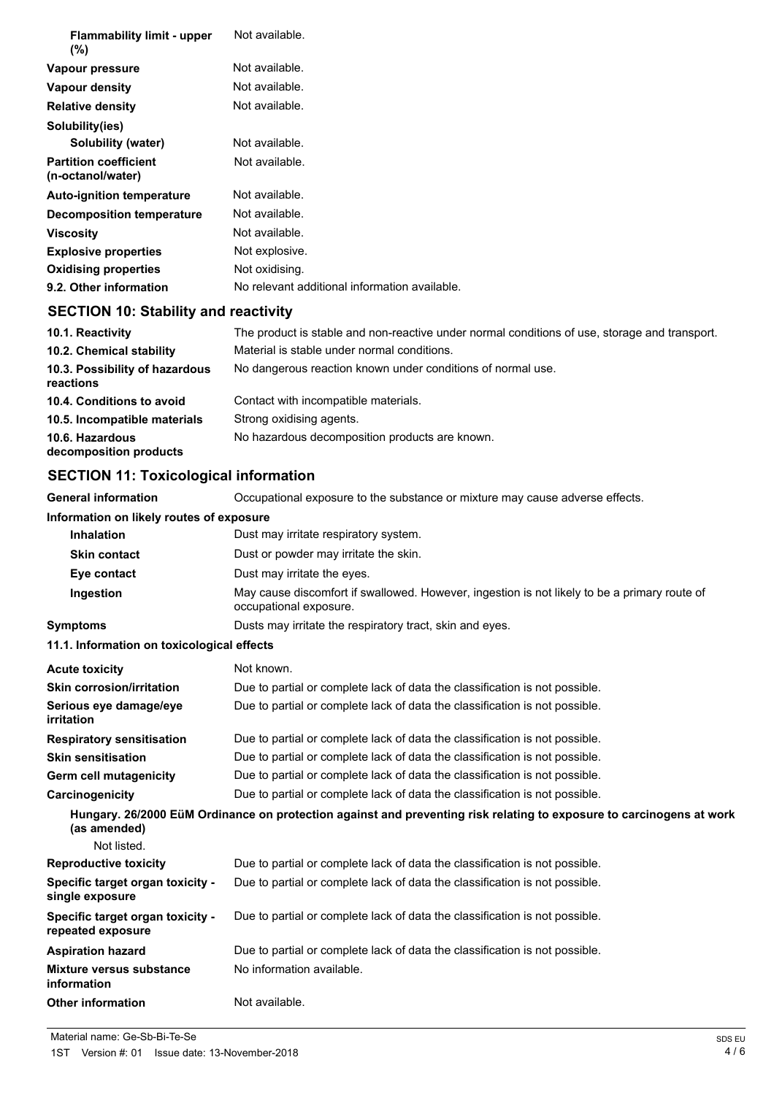| <b>Flammability limit - upper</b><br>$(\%)$       | Not available.                                |
|---------------------------------------------------|-----------------------------------------------|
| Vapour pressure                                   | Not available.                                |
| Vapour density                                    | Not available.                                |
| <b>Relative density</b>                           | Not available.                                |
| Solubility(ies)                                   |                                               |
| Solubility (water)                                | Not available.                                |
| <b>Partition coefficient</b><br>(n-octanol/water) | Not available.                                |
| <b>Auto-ignition temperature</b>                  | Not available.                                |
| Decomposition temperature                         | Not available.                                |
| <b>Viscosity</b>                                  | Not available.                                |
| <b>Explosive properties</b>                       | Not explosive.                                |
| <b>Oxidising properties</b>                       | Not oxidising.                                |
| 9.2. Other information                            | No relevant additional information available. |

# **SECTION 10: Stability and reactivity**

| 10.1. Reactivity                            | The product is stable and non-reactive under normal conditions of use, storage and transport. |
|---------------------------------------------|-----------------------------------------------------------------------------------------------|
| 10.2. Chemical stability                    | Material is stable under normal conditions.                                                   |
| 10.3. Possibility of hazardous<br>reactions | No dangerous reaction known under conditions of normal use.                                   |
| 10.4. Conditions to avoid                   | Contact with incompatible materials.                                                          |
| 10.5. Incompatible materials                | Strong oxidising agents.                                                                      |
| 10.6. Hazardous<br>decomposition products   | No hazardous decomposition products are known.                                                |

# **SECTION 11: Toxicological information**

**General information** Occupational exposure to the substance or mixture may cause adverse effects.

| Information on likely routes of exposure              |                                                                                                                        |  |
|-------------------------------------------------------|------------------------------------------------------------------------------------------------------------------------|--|
| <b>Inhalation</b>                                     | Dust may irritate respiratory system.                                                                                  |  |
| <b>Skin contact</b>                                   | Dust or powder may irritate the skin.                                                                                  |  |
| Eye contact                                           | Dust may irritate the eyes.                                                                                            |  |
| Ingestion                                             | May cause discomfort if swallowed. However, ingestion is not likely to be a primary route of<br>occupational exposure. |  |
| <b>Symptoms</b>                                       | Dusts may irritate the respiratory tract, skin and eyes.                                                               |  |
| 11.1. Information on toxicological effects            |                                                                                                                        |  |
| <b>Acute toxicity</b>                                 | Not known.                                                                                                             |  |
| <b>Skin corrosion/irritation</b>                      | Due to partial or complete lack of data the classification is not possible.                                            |  |
| Serious eye damage/eye<br>irritation                  | Due to partial or complete lack of data the classification is not possible.                                            |  |
| <b>Respiratory sensitisation</b>                      | Due to partial or complete lack of data the classification is not possible.                                            |  |
| <b>Skin sensitisation</b>                             | Due to partial or complete lack of data the classification is not possible.                                            |  |
| Germ cell mutagenicity                                | Due to partial or complete lack of data the classification is not possible.                                            |  |
| Carcinogenicity                                       | Due to partial or complete lack of data the classification is not possible.                                            |  |
| (as amended)                                          | Hungary. 26/2000 EüM Ordinance on protection against and preventing risk relating to exposure to carcinogens at work   |  |
| Not listed.                                           |                                                                                                                        |  |
| <b>Reproductive toxicity</b>                          | Due to partial or complete lack of data the classification is not possible.                                            |  |
| Specific target organ toxicity -<br>single exposure   | Due to partial or complete lack of data the classification is not possible.                                            |  |
| Specific target organ toxicity -<br>repeated exposure | Due to partial or complete lack of data the classification is not possible.                                            |  |
| <b>Aspiration hazard</b>                              | Due to partial or complete lack of data the classification is not possible.                                            |  |
| Mixture versus substance<br>information               | No information available.                                                                                              |  |
| <b>Other information</b>                              | Not available.                                                                                                         |  |

Material name: Ge-Sb-Bi-Te-Se SDS EU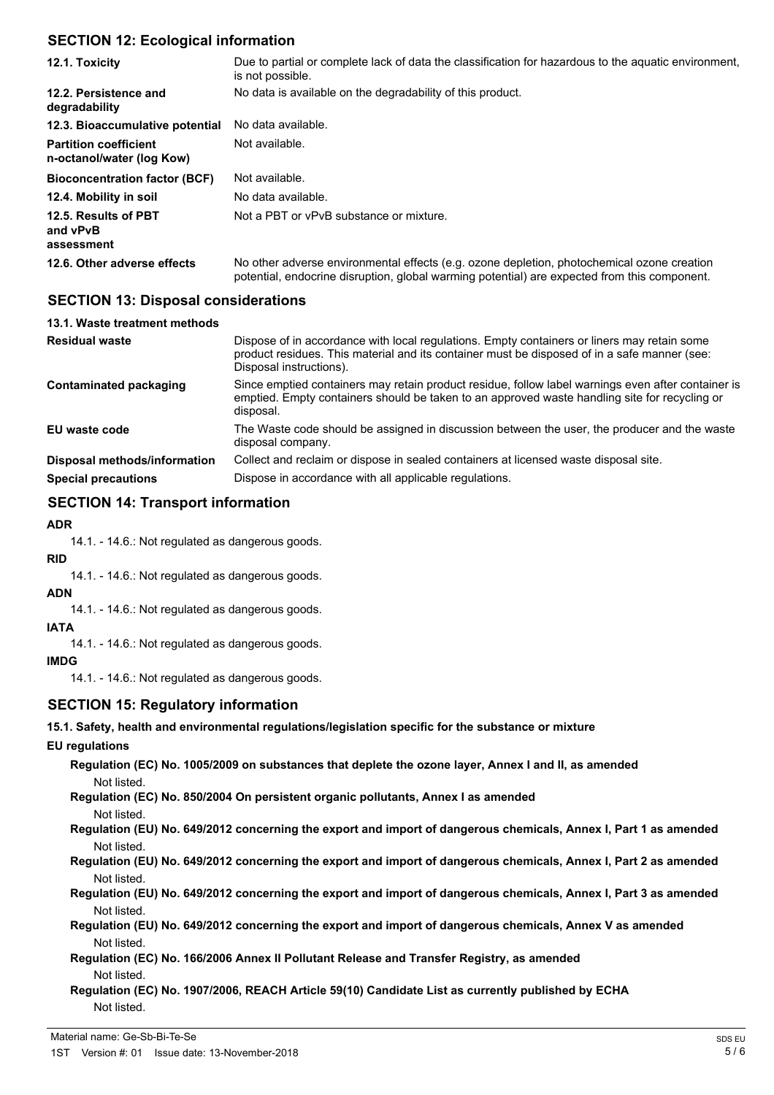### **SECTION 12: Ecological information**

| 12.1. Toxicity                                            | Due to partial or complete lack of data the classification for hazardous to the aguatic environment,<br>is not possible.                                                                   |
|-----------------------------------------------------------|--------------------------------------------------------------------------------------------------------------------------------------------------------------------------------------------|
| 12.2. Persistence and<br>degradability                    | No data is available on the degradability of this product.                                                                                                                                 |
| 12.3. Bioaccumulative potential                           | No data available.                                                                                                                                                                         |
| <b>Partition coefficient</b><br>n-octanol/water (log Kow) | Not available.                                                                                                                                                                             |
| <b>Bioconcentration factor (BCF)</b>                      | Not available.                                                                                                                                                                             |
| 12.4. Mobility in soil                                    | No data available.                                                                                                                                                                         |
| 12.5. Results of PBT<br>and vPvB<br>assessment            | Not a PBT or vPvB substance or mixture.                                                                                                                                                    |
| 12.6. Other adverse effects                               | No other adverse environmental effects (e.g. ozone depletion, photochemical ozone creation<br>potential, endocrine disruption, global warming potential) are expected from this component. |

## **SECTION 13: Disposal considerations**

| 13.1. Waste treatment methods |                                                                                                                                                                                                                        |
|-------------------------------|------------------------------------------------------------------------------------------------------------------------------------------------------------------------------------------------------------------------|
| <b>Residual waste</b>         | Dispose of in accordance with local regulations. Empty containers or liners may retain some<br>product residues. This material and its container must be disposed of in a safe manner (see:<br>Disposal instructions). |
| Contaminated packaging        | Since emptied containers may retain product residue, follow label warnings even after container is<br>emptied. Empty containers should be taken to an approved waste handling site for recycling or<br>disposal.       |
| EU waste code                 | The Waste code should be assigned in discussion between the user, the producer and the waste<br>disposal company.                                                                                                      |
| Disposal methods/information  | Collect and reclaim or dispose in sealed containers at licensed waste disposal site.                                                                                                                                   |
| <b>Special precautions</b>    | Dispose in accordance with all applicable regulations.                                                                                                                                                                 |

# **SECTION 14: Transport information**

### **ADR**

14.1. - 14.6.: Not regulated as dangerous goods.

### **RID**

14.1. - 14.6.: Not regulated as dangerous goods.

### **ADN**

14.1. - 14.6.: Not regulated as dangerous goods.

# **IATA**

14.1. - 14.6.: Not regulated as dangerous goods.

### **IMDG**

14.1. - 14.6.: Not regulated as dangerous goods.

# **SECTION 15: Regulatory information**

**15.1. Safety, health and environmental regulations/legislation specific for the substance or mixture**

# **EU regulations**

**Regulation (EC) No. 1005/2009 on substances that deplete the ozone layer, Annex I and II, as amended** Not listed.

**Regulation (EC) No. 850/2004 On persistent organic pollutants, Annex I as amended** Not listed.

**Regulation (EU) No. 649/2012 concerning the export and import of dangerous chemicals, Annex I, Part 1 as amended** Not listed.

**Regulation (EU) No. 649/2012 concerning the export and import of dangerous chemicals, Annex I, Part 2 as amended** Not listed.

- **Regulation (EU) No. 649/2012 concerning the export and import of dangerous chemicals, Annex I, Part 3 as amended** Not listed.
- **Regulation (EU) No. 649/2012 concerning the export and import of dangerous chemicals, Annex V as amended** Not listed.

## **Regulation (EC) No. 166/2006 Annex II Pollutant Release and Transfer Registry, as amended** Not listed.

**Regulation (EC) No. 1907/2006, REACH Article 59(10) Candidate List as currently published by ECHA** Not listed.